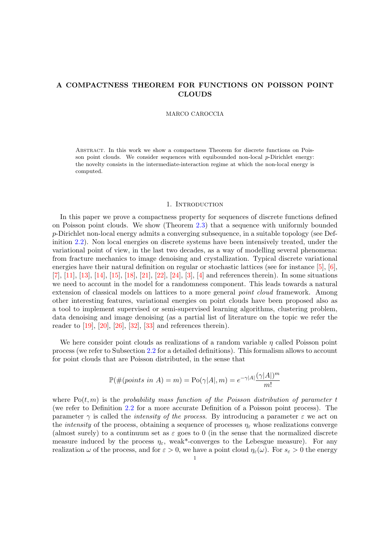# A COMPACTNESS THEOREM FOR FUNCTIONS ON POISSON POINT CLOUDS

#### MARCO CAROCCIA

Abstract. In this work we show a compactness Theorem for discrete functions on Poisson point clouds. We consider sequences with equibounded non-local  $p$ -Dirichlet energy: the novelty consists in the intermediate-interaction regime at which the non-local energy is computed.

#### 1. INTRODUCTION

In this paper we prove a compactness property for sequences of discrete functions defined on Poisson point clouds. We show (Theorem [2.3\)](#page-4-0) that a sequence with uniformly bounded p-Dirichlet non-local energy admits a converging subsequence, in a suitable topology (see Definition [2.2\)](#page-4-1). Non local energies on discrete systems have been intensively treated, under the variational point of view, in the last two decades, as a way of modelling several phenomena: from fracture mechanics to image denoising and crystallization. Typical discrete variational energies have their natural definition on regular or stochastic lattices (see for instance [\[5\]](#page-18-0), [\[6\]](#page-18-1), [\[7\]](#page-18-2), [\[11\]](#page-18-3), [\[13\]](#page-18-4), [\[14\]](#page-18-5), [\[15\]](#page-18-6), [\[18\]](#page-18-7), [\[21\]](#page-18-8), [\[22\]](#page-18-9), [\[24\]](#page-18-10), [\[3\]](#page-18-11), [\[4\]](#page-18-12) and references therein). In some situations we need to account in the model for a randomness component. This leads towards a natural extension of classical models on lattices to a more general *point cloud* framework. Among other interesting features, variational energies on point clouds have been proposed also as a tool to implement supervised or semi-supervised learning algorithms, clustering problem, data denoising and image denoising (as a partial list of literature on the topic we refer the reader to  $[19]$ ,  $[20]$ ,  $[26]$ ,  $[32]$ ,  $[33]$  and references therein).

We here consider point clouds as realizations of a random variable  $\eta$  called Poisson point process (we refer to Subsection [2.2](#page-3-0) for a detailed definitions). This formalism allows to account for point clouds that are Poisson distributed, in the sense that

$$
\mathbb{P}(\#(points \ in \ A) = m) = \text{Po}(\gamma |A|, m) = e^{-\gamma |A|} \frac{(\gamma |A|)^m}{m!}
$$

where  $Po(t, m)$  is the probability mass function of the Poisson distribution of parameter t (we refer to Definition [2.2](#page-3-0) for a more accurate Definition of a Poisson point process). The parameter  $\gamma$  is called the *intensity of the process*. By introducing a parameter  $\varepsilon$  we act on the *intensity* of the process, obtaining a sequence of processes  $\eta_{\varepsilon}$  whose realizations converge (almost surely) to a continuum set as  $\varepsilon$  goes to 0 (in the sense that the normalized discrete measure induced by the process  $\eta_{\varepsilon}$ , weak\*-converges to the Lebesgue measure). For any realization  $\omega$  of the process, and for  $\varepsilon > 0$ , we have a point cloud  $\eta_{\varepsilon}(\omega)$ . For  $s_{\varepsilon} > 0$  the energy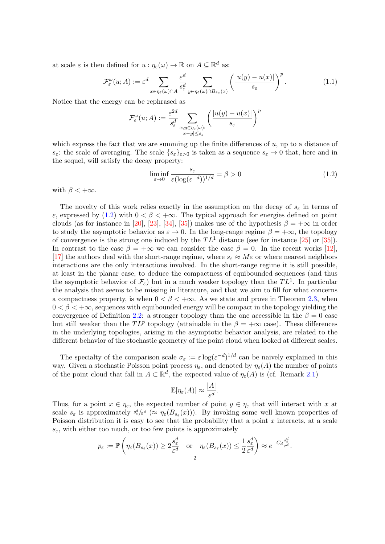at scale  $\varepsilon$  is then defined for  $u : \eta_{\varepsilon}(\omega) \to \mathbb{R}$  on  $A \subseteq \mathbb{R}^d$  as:

$$
\mathcal{F}_{\varepsilon}^{\omega}(u;A) := \varepsilon^{d} \sum_{x \in \eta_{\varepsilon}(\omega) \cap A} \frac{\varepsilon^{d}}{s_{\varepsilon}^{d}} \sum_{y \in \eta_{\varepsilon}(\omega) \cap B_{s_{\varepsilon}}(x)} \left(\frac{|u(y) - u(x)|}{s_{\varepsilon}}\right)^{p}.
$$
\n(1.1)

Notice that the energy can be rephrased as

$$
\mathcal{F}_{\varepsilon}^{\omega}(u;A) := \frac{\varepsilon^{2d}}{s_{\varepsilon}^{d}} \sum_{\substack{x,y \in \eta_{\varepsilon}(\omega):\\|x-y| \le s_{\varepsilon}}} \left(\frac{|u(y) - u(x)|}{s_{\varepsilon}}\right)^p
$$

which express the fact that we are summing up the finite differences of  $u$ , up to a distance of  $s_{\varepsilon}$ : the scale of averaging. The scale  $\{s_{\varepsilon}\}_{{\varepsilon}>0}$  is taken as a sequence  $s_{\varepsilon}\to 0$  that, here and in the sequel, will satisfy the decay property:

<span id="page-1-0"></span>
$$
\liminf_{\varepsilon \to 0} \frac{s_{\varepsilon}}{\varepsilon (\log(\varepsilon^{-d}))^{1/d}} = \beta > 0 \tag{1.2}
$$

with  $\beta < +\infty$ .

The novelty of this work relies exactly in the assumption on the decay of  $s_{\varepsilon}$  in terms of ε, expressed by [\(1.2\)](#page-1-0) with  $0 < \beta < +\infty$ . The typical approach for energies defined on point clouds (as for instance in [\[20\]](#page-18-14), [\[23\]](#page-18-15), [\[34\]](#page-19-3), [\[35\]](#page-19-4)) makes use of the hypothesis  $\beta = +\infty$  in order to study the asymptotic behavior as  $\varepsilon \to 0$ . In the long-range regime  $\beta = +\infty$ , the topology of convergence is the strong one induced by the  $TL^1$  distance (see for instance [\[25\]](#page-18-16) or [\[35\]](#page-19-4)). In contrast to the case  $\beta = +\infty$  we can consider the case  $\beta = 0$ . In the recent works [\[12\]](#page-18-17), [\[17\]](#page-18-18) the authors deal with the short-range regime, where  $s_{\varepsilon} \approx M \varepsilon$  or where nearest neighbors interactions are the only interactions involved. In the short-range regime it is still possible, at least in the planar case, to deduce the compactness of equibounded sequences (and thus the asymptotic behavior of  $\mathcal{F}_{\varepsilon}$ ) but in a much weaker topology than the  $TL^1$ . In particular the analysis that seems to be missing in literature, and that we aim to fill for what concerns a compactness property, is when  $0 < \beta < +\infty$ . As we state and prove in Theorem [2.3,](#page-4-0) when  $0 < \beta < +\infty$ , sequences with equibounded energy will be compact in the topology yielding the convergence of Definition [2.2:](#page-4-1) a stronger topology than the one accessible in the  $\beta = 0$  case but still weaker than the  $TL^p$  topology (attainable in the  $\beta = +\infty$  case). These differences in the underlying topologies, arising in the asymptotic behavior analysis, are related to the different behavior of the stochastic geometry of the point cloud when looked at different scales.

The specialty of the comparison scale  $\sigma_{\varepsilon} := \varepsilon \log(\varepsilon^{-d})^{1/d}$  can be naively explained in this way. Given a stochastic Poisson point process  $\eta_{\varepsilon}$ , and denoted by  $\eta_{\varepsilon}(A)$  the number of points of the point cloud that fall in  $A \subset \mathbb{R}^d$ , the expected value of  $\eta_{\varepsilon}(A)$  is (cf. Remark [2.1\)](#page-3-1)

$$
\mathbb{E}[\eta_{\varepsilon}(A)] \approx \frac{|A|}{\varepsilon^d}.
$$

Thus, for a point  $x \in \eta_{\varepsilon}$ , the expected number of point  $y \in \eta_{\varepsilon}$  that will interact with x at scale  $s_{\varepsilon}$  is approximately  $s_{\varepsilon}^d/\varepsilon^d \approx \eta_{\varepsilon}(B_{s_{\varepsilon}}(x))$ . By invoking some well known properties of Poisson distribution it is easy to see that the probability that a point  $x$  interacts, at a scale  $s_{\varepsilon}$ , with either too much, or too few points is approximately

$$
p_{\varepsilon} := \mathbb{P}\left(\eta_{\varepsilon}(B_{s_{\varepsilon}}(x)) \geq 2\frac{s_{\varepsilon}^d}{\varepsilon^d} \quad \text{or} \quad \eta_{\varepsilon}(B_{s_{\varepsilon}}(x)) \leq \frac{1}{2}\frac{s_{\varepsilon}^d}{\varepsilon^d}\right) \approx e^{-C_d \frac{s_{\varepsilon}^d}{\varepsilon^d}}.
$$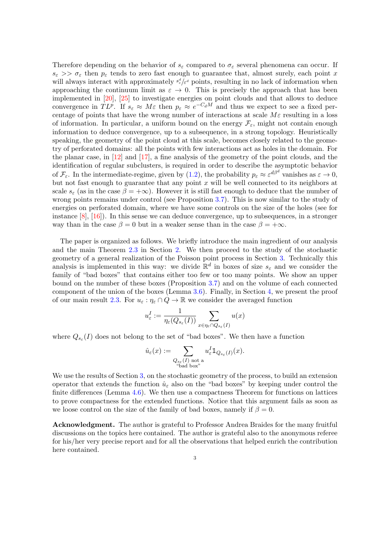Therefore depending on the behavior of  $s_{\varepsilon}$  compared to  $\sigma_{\varepsilon}$  several phenomena can occur. If  $s_{\varepsilon} \gg \sigma_{\varepsilon}$  then  $p_{\varepsilon}$  tends to zero fast enough to guarantee that, almost surely, each point x will always interact with approximately  $s_{\varepsilon}^d/\varepsilon^d$  points, resulting in no lack of information when approaching the continuum limit as  $\varepsilon \to 0$ . This is precisely the approach that has been implemented in [\[20\]](#page-18-14), [\[25\]](#page-18-16) to investigate energies on point clouds and that allows to deduce convergence in TLP. If  $s_{\varepsilon} \approx M\varepsilon$  then  $p_{\varepsilon} \approx e^{-C_dM}$  and thus we expect to see a fixed percentage of points that have the wrong number of interactions at scale  $M\varepsilon$  resulting in a loss of information. In particular, a uniform bound on the energy  $\mathcal{F}_{\varepsilon}$ , might not contain enough information to deduce convergence, up to a subsequence, in a strong topology. Heuristically speaking, the geometry of the point cloud at this scale, becomes closely related to the geometry of perforated domains: all the points with few interactions act as holes in the domain. For the planar case, in [\[12\]](#page-18-17) and [\[17\]](#page-18-18), a fine analysis of the geometry of the point clouds, and the identification of regular subclusters, is required in order to describe the asymptotic behavior of  $\mathcal{F}_{\varepsilon}$ . In the intermediate-regime, given by [\(1.2\)](#page-1-0), the probability  $p_{\varepsilon} \approx \varepsilon^{d\beta^d}$  vanishes as  $\varepsilon \to 0$ , but not fast enough to guarantee that any point  $x$  will be well connected to its neighbors at scale  $s_{\varepsilon}$  (as in the case  $\beta = +\infty$ ). However it is still fast enough to deduce that the number of wrong points remains under control (see Proposition [3.7\)](#page-8-0). This is now similar to the study of energies on perforated domain, where we have some controls on the size of the holes (see for instance [\[8\]](#page-18-19), [\[16\]](#page-18-20)). In this sense we can deduce convergence, up to subsequences, in a stronger way than in the case  $\beta = 0$  but in a weaker sense than in the case  $\beta = +\infty$ .

The paper is organized as follows. We briefly introduce the main ingredient of our analysis and the main Theorem [2.3](#page-4-0) in Section [2.](#page-3-2) We then proceed to the study of the stochastic geometry of a general realization of the Poisson point process in Section [3.](#page-5-0) Technically this analysis is implemented in this way: we divide  $\mathbb{R}^d$  in boxes of size  $s_{\varepsilon}$  and we consider the family of "bad boxes" that contains either too few or too many points. We show an upper bound on the number of these boxes (Proposition [3.7\)](#page-8-0) and on the volume of each connected component of the union of the boxes (Lemma [3.6\)](#page-7-0). Finally, in Section [4,](#page-10-0) we present the proof of our main result [2.3.](#page-4-0) For  $u_{\varepsilon} : \eta_{\varepsilon} \cap Q \to \mathbb{R}$  we consider the averaged function

$$
u_\varepsilon^I:=\frac{1}{\eta_\varepsilon(Q_{s_\varepsilon}(I))}\sum_{x\in \eta_\varepsilon\cap Q_{s_\varepsilon}(I)}u(x)
$$

where  $Q_{s_{\varepsilon}}(I)$  does not belong to the set of "bad boxes". We then have a function

$$
\hat{u}_{\varepsilon}(x) := \sum_{\substack{Q_{s_{\varepsilon}}(I) \text{ not a} \\ \text{``bad box''}}} u_{\varepsilon}^{I} \mathbb{1}_{Q_{s_{\varepsilon}}(I)}(x).
$$

We use the results of Section [3,](#page-5-0) on the stochastic geometry of the process, to build an extension operator that extends the function  $\hat{u}_{\varepsilon}$  also on the "bad boxes" by keeping under control the finite differences (Lemma [4.6\)](#page-11-0). We then use a compactness Theorem for functions on lattices to prove compactness for the extended functions. Notice that this argument fails as soon as we loose control on the size of the family of bad boxes, namely if  $\beta = 0$ .

Acknowledgment. The author is grateful to Professor Andrea Braides for the many fruitful discussions on the topics here contained. The author is grateful also to the anonymous referee for his/her very precise report and for all the observations that helped enrich the contribution here contained.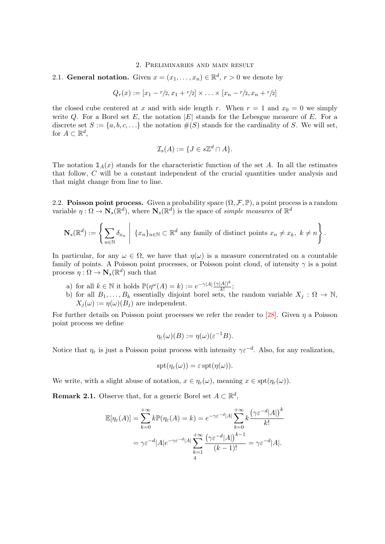## 2. Preliminaries and main result

<span id="page-3-2"></span>2.1. General notation. Given  $x = (x_1, \ldots, x_n) \in \mathbb{R}^d$ ,  $r > 0$  we denote by

$$
Q_r(x) := [x_1 - r/2, x_1 + r/2] \times \ldots \times [x_n - r/2, x_n + r/2]
$$

the closed cube centered at x and with side length r. When  $r = 1$  and  $x_0 = 0$  we simply write Q. For a Borel set E, the notation  $|E|$  stands for the Lebesgue measure of E. For a discrete set  $S := \{a, b, c, \ldots\}$  the notation  $\#(S)$  stands for the cardinality of S. We will set, for  $A \subset \mathbb{R}^d$ ,

$$
\mathcal{I}_s(A) := \{ J \in s\mathbb{Z}^d \cap A \}.
$$

The notation  $\mathbb{1}_A(x)$  stands for the characteristic function of the set A. In all the estimates that follow, C will be a constant independent of the crucial quantities under analysis and that might change from line to line.

<span id="page-3-0"></span>2.2. Poisson point process. Given a probability space  $(\Omega, \mathcal{F}, \mathbb{P})$ , a point process is a random variable  $\eta : \Omega \to \mathbf{N}_s(\mathbb{R}^d)$ , where  $\mathbf{N}_s(\mathbb{R}^d)$  is the space of simple measures of  $\mathbb{R}^d$ 

$$
\mathbf{N}_s(\mathbb{R}^d) := \left\{ \sum_{n \in \mathbb{N}} \delta_{x_n} \middle| \{x_n\}_{n \in \mathbb{N}} \subset \mathbb{R}^d \text{ any family of distinct points } x_n \neq x_k, \ k \neq n \right\}.
$$

In particular, for any  $\omega \in \Omega$ , we have that  $\eta(\omega)$  is a measure concentrated on a countable family of points. A Poisson point processes, or Poisson point cloud, of intensity  $\gamma$  is a point process  $\eta : \Omega \to \mathbf{N}_s(\mathbb{R}^d)$  such that

- a) for all  $k \in \mathbb{N}$  it holds  $\mathbb{P}(\eta^{\omega}(A) = k) := e^{-\gamma |A|} \frac{(\gamma |A|)^k}{k!}$  $\frac{|A|}{k!}$ ;
- b) for all  $B_1, \ldots, B_k$  essentially disjoint borel sets, the random variable  $X_j : \Omega \to \mathbb{N}$ ,  $X_i(\omega) := \eta(\omega)(B_i)$  are independent.

For further details on Poisson point processes we refer the reader to [\[28\]](#page-19-5). Given  $\eta$  a Poisson point process we define

$$
\eta_{\varepsilon}(\omega)(B) := \eta(\omega)(\varepsilon^{-1}B).
$$

Notice that  $\eta_{\varepsilon}$  is just a Poisson point process with intensity  $\gamma \varepsilon^{-d}$ . Also, for any realization,

$$
\operatorname{spt}(\eta_{\varepsilon}(\omega)) = \varepsilon \operatorname{spt}(\eta(\omega)).
$$

We write, with a slight abuse of notation,  $x \in \eta_{\varepsilon}(\omega)$ , meaning  $x \in \text{spt}(\eta_{\varepsilon}(\omega))$ .

<span id="page-3-1"></span>**Remark 2.1.** Observe that, for a generic Borel set  $A \subset \mathbb{R}^d$ ,

$$
\mathbb{E}[\eta_{\varepsilon}(A)] = \sum_{k=0}^{+\infty} k \mathbb{P}(\eta_{\varepsilon}(A) = k) = e^{-\gamma \varepsilon^{-d} |A|} \sum_{k=0}^{+\infty} k \frac{(\gamma \varepsilon^{-d} |A|)^k}{k!}
$$

$$
= \gamma \varepsilon^{-d} |A| e^{-\gamma \varepsilon^{-d} |A|} \sum_{k=1}^{+\infty} \frac{(\gamma \varepsilon^{-d} |A|)^{k-1}}{(k-1)!} = \gamma \varepsilon^{-d} |A|.
$$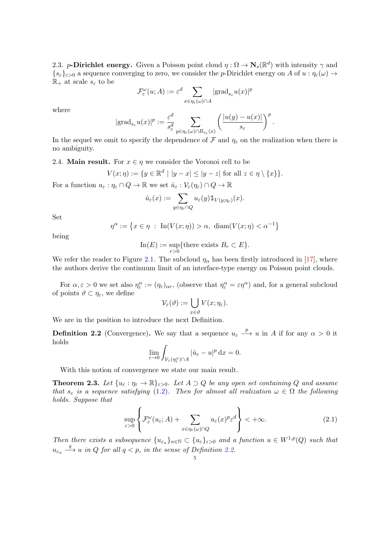2.3. p-Dirichlet energy. Given a Poisson point cloud  $\eta : \Omega \to \mathbf{N}_s(\mathbb{R}^d)$  with intensity  $\gamma$  and  $\{s_{\varepsilon}\}_{{\varepsilon}>0}$  a sequence converging to zero, we consider the p-Dirichlet energy on A of  $u : \eta_{\varepsilon}(\omega) \to$  $\mathbb{R}_+$  at scale  $s_{\varepsilon}$  to be

$$
\mathcal{F}_{\varepsilon}^{\omega}(u;A) := \varepsilon^{d} \sum_{x \in \eta_{\varepsilon}(\omega) \cap A} |\text{grad}_{s_{\varepsilon}} u(x)|^{p}
$$

where

$$
|{\textup{grad}}_{s_\varepsilon} u(x)|^p:=\frac{\varepsilon^d}{s_\varepsilon^d}\sum_{y\in\eta_\varepsilon(\omega)\cap B_{s_\varepsilon}(x)}\left(\frac{|u(y)-u(x)|}{s_\varepsilon}\right)^p.
$$

In the sequel we omit to specify the dependence of F and  $\eta_{\varepsilon}$  on the realization when there is no ambiguity.

2.4. Main result. For  $x \in \eta$  we consider the Voronoi cell to be

$$
V(x; \eta) := \{ y \in \mathbb{R}^d \mid |y - x| \le |y - z| \text{ for all } z \in \eta \setminus \{x\} \}.
$$

For a function  $u_{\varepsilon} : \eta_{\varepsilon} \cap Q \to \mathbb{R}$  we set  $\hat{u}_{\varepsilon} : \mathcal{V}_{\varepsilon}(\eta_{\varepsilon}) \cap Q \to \mathbb{R}$ 

$$
\hat{u}_{\varepsilon}(x) := \sum_{y \in \eta_{\varepsilon} \cap Q} u_{\varepsilon}(y) \mathbbm{1}_{V(y; \eta_{\varepsilon})}(x).
$$

Set

$$
\eta^{\alpha} := \left\{ x \in \eta \; : \; \text{In}(V(x; \eta)) > \alpha, \; \text{diam}(V(x; \eta) < \alpha^{-1} \right\}
$$

being

$$
\mathrm{In}(E):=\sup_{r>0}\{\text{there exists }B_r\subset E\}.
$$

We refer the reader to Figure [2.1.](#page-5-1) The subcloud  $\eta_{\alpha}$  has been firstly introduced in [\[17\]](#page-18-18), where the authors derive the continuum limit of an interface-type energy on Poisson point clouds.

For  $\alpha, \varepsilon > 0$  we set also  $\eta_{\varepsilon}^{\alpha} := (\eta_{\varepsilon})_{\alpha \varepsilon}$ , (observe that  $\eta_{\varepsilon}^{\alpha} = \varepsilon \eta^{\alpha}$ ) and, for a general subcloud of points  $\vartheta \subset \eta_{\varepsilon}$ , we define

$$
\mathcal{V}_{\varepsilon}(\vartheta) := \bigcup_{x \in \vartheta} V(x; \eta_{\varepsilon}).
$$

We are in the position to introduce the next Definition.

<span id="page-4-1"></span>**Definition 2.2** (Convergence). We say that a sequence  $u_{\varepsilon} \stackrel{p}{\longrightarrow} u$  in A if for any  $\alpha > 0$  it holds

$$
\lim_{\varepsilon \to 0} \int_{\mathcal{V}_{\varepsilon}(\eta_{\varepsilon}^{\alpha}) \cap A} |\hat{u}_{\varepsilon} - u|^{p} dx = 0.
$$

With this notion of convergence we state our main result.

<span id="page-4-0"></span>**Theorem 2.3.** Let  $\{u_{\varepsilon} : \eta_{\varepsilon} \to \mathbb{R}\}_{\varepsilon > 0}$ . Let  $A \supset Q$  be any open set containing Q and assume that  $s_{\varepsilon}$  is a sequence satisfying [\(1.2\)](#page-1-0). Then for almost all realization  $\omega \in \Omega$  the following holds. Suppose that

<span id="page-4-2"></span>
$$
\sup_{\varepsilon>0} \left\{ \mathcal{F}_{\varepsilon}^{\omega}(u_{\varepsilon}; A) + \sum_{x \in \eta_{\varepsilon}(\omega) \cap Q} u_{\varepsilon}(x)^p \varepsilon^d \right\} < +\infty.
$$
 (2.1)

Then there exists a subsequence  $\{u_{\varepsilon_n}\}_{n\in\mathbb{N}}\subset \{u_{\varepsilon}\}_{\varepsilon>0}$  and a function  $u\in W^{1,p}(Q)$  such that  $u_{\varepsilon_n} \stackrel{q}{\longrightarrow} u$  in Q for all  $q < p$ , in the sense of Definition [2.2.](#page-4-1)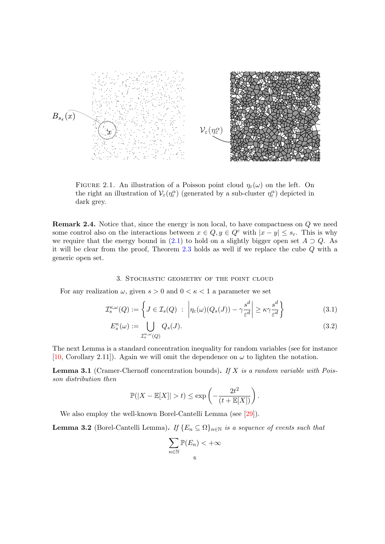<span id="page-5-1"></span>

FIGURE 2.1. An illustration of a Poisson point cloud  $\eta_{\varepsilon}(\omega)$  on the left. On the right an illustration of  $\mathcal{V}_{\varepsilon}(\eta^{\alpha}_{\varepsilon})$  (generated by a sub-cluster  $\eta^{\alpha}_{\varepsilon}$ ) depicted in dark grey.

**Remark 2.4.** Notice that, since the energy is non local, to have compactness on Q we need some control also on the interactions between  $x \in Q$ ,  $y \in Q^c$  with  $|x - y| \leq s_{\varepsilon}$ . This is why we require that the energy bound in [\(2.1\)](#page-4-2) to hold on a slightly bigger open set  $A \supset Q$ . As it will be clear from the proof, Theorem [2.3](#page-4-0) holds as well if we replace the cube Q with a generic open set.

## 3. Stochastic geometry of the point cloud

<span id="page-5-0"></span>For any realization  $\omega$ , given  $s > 0$  and  $0 < \kappa < 1$  a parameter we set

$$
\mathcal{I}_s^{\kappa,\omega}(Q) := \left\{ J \in \mathcal{I}_s(Q) \ : \ \left| \eta_{\varepsilon}(\omega)(Q_s(J)) - \gamma \frac{s^d}{\varepsilon^d} \right| \geq \kappa \gamma \frac{s^d}{\varepsilon^d} \right\} \tag{3.1}
$$

$$
E_s^{\kappa}(\omega) := \bigcup_{\mathcal{I}_s^{\kappa,\omega}(Q)} Q_s(J). \tag{3.2}
$$

The next Lemma is a standard concentration inequality for random variables (see for instance [\[10,](#page-18-21) Corollary 2.11]). Again we will omit the dependence on  $\omega$  to lighten the notation.

<span id="page-5-2"></span>**Lemma 3.1** (Cramer-Chernoff concentration bounds). If X is a random variable with Poisson distribution then

$$
\mathbb{P}(|X - \mathbb{E}[X]| > t) \le \exp\left(-\frac{2t^2}{(t + \mathbb{E}[X])}\right).
$$

We also employ the well-known Borel-Cantelli Lemma (see [\[29\]](#page-19-6)).

<span id="page-5-3"></span>**Lemma 3.2** (Borel-Cantelli Lemma). If  $\{E_n \subseteq \Omega\}_{n \in \mathbb{N}}$  is a sequence of events such that

<span id="page-5-5"></span><span id="page-5-4"></span>
$$
\sum_{n \in \mathbb{N}} \mathbb{P}(E_n) < +\infty
$$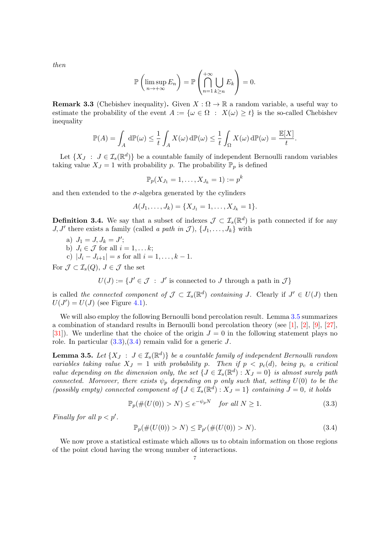then

$$
\mathbb{P}\left(\limsup_{n\to+\infty}E_n\right)=\mathbb{P}\left(\bigcap_{n=1}^{+\infty}\bigcup_{k\geq n}E_k\right)=0.
$$

<span id="page-6-3"></span>**Remark 3.3** (Chebishev inequality). Given  $X : \Omega \to \mathbb{R}$  a random variable, a useful way to estimate the probability of the event  $A := \{ \omega \in \Omega : X(\omega) \geq t \}$  is the so-called Chebishev inequality

$$
\mathbb{P}(A) = \int_A d\mathbb{P}(\omega) \le \frac{1}{t} \int_A X(\omega) d\mathbb{P}(\omega) \le \frac{1}{t} \int_{\Omega} X(\omega) d\mathbb{P}(\omega) = \frac{\mathbb{E}[X]}{t}.
$$

Let  $\{X_J : J \in \mathcal{I}_s(\mathbb{R}^d)\}\$  be a countable family of independent Bernoulli random variables taking value  $X_J = 1$  with probability p. The probability  $\mathbb{P}_p$  is defined

$$
\mathbb{P}_p(X_{J_1}=1,\ldots,X_{J_k}=1):=p^k
$$

and then extended to the  $\sigma$ -algebra generated by the cylinders

$$
A(J_1,\ldots,J_k)=\{X_{J_1}=1,\ldots,X_{J_k}=1\}.
$$

<span id="page-6-4"></span>**Definition 3.4.** We say that a subset of indexes  $\mathcal{J} \subset \mathcal{I}_s(\mathbb{R}^d)$  is path connected if for any J, J' there exists a family (called a path in J),  $\{J_1, \ldots, J_k\}$  with

a) 
$$
J_1 = J, J_k = J';
$$

- b)  $J_i \in \mathcal{J}$  for all  $i = 1, \ldots k;$
- c)  $|J_i J_{i+1}| = s$  for all  $i = 1, ..., k 1$ .

For  $\mathcal{J} \subset \mathcal{I}_s(Q)$ ,  $J \in \mathcal{J}$  the set

 $U(J) := \{J' \in \mathcal{J} : J' \text{ is connected to } J \text{ through a path in } \mathcal{J}\}\$ 

is called the connected component of  $\mathcal{J} \subset \mathcal{I}_s(\mathbb{R}^d)$  containing J. Clearly if  $J' \in U(J)$  then  $U(J') = U(J)$  (see Figure [4.1\)](#page-11-1).

We will also employ the following Bernoulli bond percolation result. Lemma [3.5](#page-6-0) summarizes a combination of standard results in Bernoulli bond percolation theory (see [\[1\]](#page-18-22), [\[2\]](#page-18-23), [\[9\]](#page-18-24), [\[27\]](#page-19-7), [\[31\]](#page-19-8)). We underline that the choice of the origin  $J = 0$  in the following statement plays no role. In particular  $(3.3),(3.4)$  $(3.3),(3.4)$  $(3.3),(3.4)$  remain valid for a generic J.

<span id="page-6-0"></span>**Lemma 3.5.** Let  $\{X_J : J \in I_s(\mathbb{R}^d)\}\$ be a countable family of independent Bernoulli random variables taking value  $X_J = 1$  with probability p. Then if  $p < p_c(d)$ , being  $p_c$  a critical value depending on the dimension only, the set  $\{J \in \mathcal{I}_s(\mathbb{R}^d) : X_J = 0\}$  is almost surely path connected. Moreover, there exists  $\psi_p$  depending on p only such that, setting  $U(0)$  to be the (possibly empty) connected component of  $\{J \in \mathcal{I}_s(\mathbb{R}^d) : X_J = 1\}$  containing  $J = 0$ , it holds

<span id="page-6-1"></span>
$$
\mathbb{P}_p(\#(U(0)) > N) \le e^{-\psi_p N} \quad \text{for all } N \ge 1. \tag{3.3}
$$

Finally for all  $p < p'$ .

<span id="page-6-2"></span>
$$
\mathbb{P}_p(\#(U(0)) > N) \le \mathbb{P}_{p'}(\#(U(0)) > N). \tag{3.4}
$$

We now prove a statistical estimate which allows us to obtain information on those regions of the point cloud having the wrong number of interactions.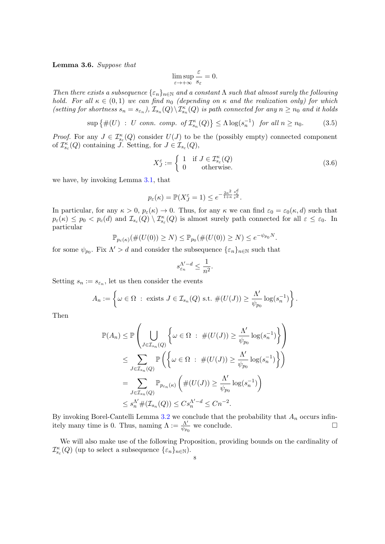<span id="page-7-0"></span>Lemma 3.6. Suppose that

$$
\limsup_{\varepsilon \to +\infty} \frac{\varepsilon}{s_{\varepsilon}} = 0.
$$

Then there exists a subsequence  $\{\varepsilon_n\}_{n\in\mathbb{N}}$  and a constant  $\Lambda$  such that almost surely the following hold. For all  $\kappa \in (0,1)$  we can find  $n_0$  (depending on  $\kappa$  and the realization only) for which (setting for shortness  $s_n = s_{\varepsilon_n}$ ),  $\mathcal{I}_{s_n}(Q) \setminus \mathcal{I}_{s_n}^{\kappa}(Q)$  is path connected for any  $n \geq n_0$  and it holds

$$
\sup\left\{\#(U) \ : \ U \ \text{conn. } comp. \ \text{of } \mathcal{I}_{s_n}^{\kappa}(Q)\right\} \leq \Lambda \log(s_n^{-1}) \ \text{for all } n \geq n_0. \tag{3.5}
$$

*Proof.* For any  $J \in \mathcal{I}_{s_{\varepsilon}}^{\kappa}(Q)$  consider  $U(J)$  to be the (possibly empty) connected component of  $\mathcal{I}_{s_{\varepsilon}}^{\kappa}(Q)$  containing  $\overline{J}$ . Setting, for  $J \in \mathcal{I}_{s_{\varepsilon}}(Q)$ ,

$$
X_J^{\varepsilon} := \begin{cases} 1 & \text{if } J \in \mathcal{I}_{s_{\varepsilon}}^{\kappa}(Q) \\ 0 & \text{otherwise.} \end{cases}
$$
 (3.6)

we have, by invoking Lemma [3.1,](#page-5-2) that

$$
p_{\varepsilon}(\kappa) = \mathbb{P}(X_J^{\varepsilon} = 1) \leq e^{-\frac{2\kappa^2}{1+\kappa} \frac{s_{\varepsilon}^d}{\varepsilon^d}}.
$$

In particular, for any  $\kappa > 0$ ,  $p_{\varepsilon}(\kappa) \to 0$ . Thus, for any  $\kappa$  we can find  $\varepsilon_0 = \varepsilon_0(\kappa, d)$  such that  $p_{\varepsilon}(\kappa) \leq p_0 < p_c(d)$  and  $\mathcal{I}_{s_{\varepsilon}}(Q) \setminus \mathcal{I}_{s_{\varepsilon}}^{\kappa}(Q)$  is almost surely path connected for all  $\varepsilon \leq \varepsilon_0$ . In particular

$$
\mathbb{P}_{p_{\varepsilon}(\kappa)}(\#(U(0)) \ge N) \le \mathbb{P}_{p_0}(\#(U(0)) \ge N) \le e^{-\psi_{p_0}N}.
$$

for some  $\psi_{p_0}$ . Fix  $\Lambda' > d$  and consider the subsequence  $\{\varepsilon_n\}_{n \in \mathbb{N}}$  such that

$$
s_{\varepsilon_n}^{\Lambda'-d} \le \frac{1}{n^2}.
$$

Setting  $s_n := s_{\varepsilon_n}$ , let us then consider the events

$$
A_n := \left\{ \omega \in \Omega \; : \; \text{exists } J \in \mathcal{I}_{s_n}(Q) \text{ s.t. } \#(U(J)) \geq \frac{\Lambda'}{\psi_{p_0}} \log(s_n^{-1}) \right\}.
$$

Then

$$
\mathbb{P}(A_n) \leq \mathbb{P}\left(\bigcup_{J \in \mathcal{I}_{s_n}(Q)} \left\{\omega \in \Omega : \#(U(J)) \geq \frac{\Lambda'}{\psi_{p_0}} \log(s_n^{-1})\right\}\right)
$$
  

$$
\leq \sum_{J \in \mathcal{I}_{s_n}(Q)} \mathbb{P}\left(\left\{\omega \in \Omega : \#(U(J)) \geq \frac{\Lambda'}{\psi_{p_0}} \log(s_n^{-1})\right\}\right)
$$
  

$$
= \sum_{J \in \mathcal{I}_{s_n}(Q)} \mathbb{P}_{p_{\varepsilon_n}(\kappa)}\left(\#(U(J)) \geq \frac{\Lambda'}{\psi_{p_0}} \log(s_n^{-1})\right)
$$
  

$$
\leq s_n^{\Lambda'} \#(\mathcal{I}_{s_n}(Q)) \leq Cs_n^{\Lambda'-d} \leq Cn^{-2}.
$$

By invoking Borel-Cantelli Lemma [3.2](#page-5-3) we conclude that the probability that  $A_n$  occurs infinitely many time is 0. Thus, naming  $\Lambda := \frac{\Lambda'}{\psi_{p_0}}$  we conclude.

We will also make use of the following Proposition, providing bounds on the cardinality of  $\mathcal{I}_{s_{\varepsilon}}^{\kappa}(Q)$  (up to select a subsequence  $\{\varepsilon_n\}_{n\in\mathbb{N}}$ ).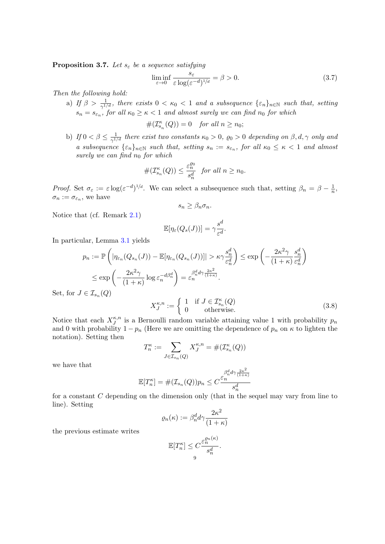<span id="page-8-0"></span>**Proposition 3.7.** Let  $s_{\varepsilon}$  be a sequence satisfying

<span id="page-8-1"></span>
$$
\liminf_{\varepsilon \to 0} \frac{s_{\varepsilon}}{\varepsilon \log(\varepsilon^{-d})^{1/d}} = \beta > 0. \tag{3.7}
$$

Then the following hold:

a) If  $\beta > \frac{1}{\gamma^{1/d}}$ , there exists  $0 < \kappa_0 < 1$  and a subsequence  $\{\varepsilon_n\}_{n \in \mathbb{N}}$  such that, setting  $s_n = s_{\varepsilon_n}$ , for all  $\kappa_0 \ge \kappa < 1$  and almost surely we can find  $n_0$  for which

$$
\#(\mathcal{I}_{s_n}^{\kappa}(Q)) = 0 \quad for all n \ge n_0;
$$

b) If  $0 < \beta \leq \frac{1}{\alpha \ln n}$  $\frac{1}{\gamma^{1/d}}$  there exist two constants  $\kappa_0 > 0$ ,  $\varrho_0 > 0$  depending on  $\beta, d, \gamma$  only and a subsequence  $\{\varepsilon_n\}_{n\in\mathbb{N}}$  such that, setting  $s_n := s_{\varepsilon_n}$ , for all  $\kappa_0 \leq \kappa < 1$  and almost surely we can find  $n_0$  for which

$$
\#(\mathcal{I}_{s_n}^{\kappa}(Q)) \le \frac{\varepsilon_n^{\varrho_0}}{s_n^d} \quad \text{for all } n \ge n_0.
$$

Proof. Set  $\sigma_{\varepsilon} := \varepsilon \log(\varepsilon^{-d})^{1/d}$ . We can select a subsequence such that, setting  $\beta_n = \beta - \frac{1}{n}$  $\frac{1}{n}$  $\sigma_n := \sigma_{\varepsilon_n}$ , we have

$$
s_n \geq \beta_n \sigma_n.
$$

Notice that (cf. Remark [2.1\)](#page-3-1)

$$
\mathbb{E}[\eta_{\varepsilon}(Q_s(J))] = \gamma \frac{s^d}{\varepsilon^d}.
$$

In particular, Lemma [3.1](#page-5-2) yields

$$
p_n := \mathbb{P}\left(|\eta_{\varepsilon_n}(Q_{s_n}(J)) - \mathbb{E}[\eta_{\varepsilon_n}(Q_{s_n}(J))]| > \kappa \gamma \frac{s_n^d}{\varepsilon_n^d}\right) \le \exp\left(-\frac{2\kappa^2 \gamma}{(1+\kappa)} \frac{s_n^d}{\varepsilon_n^d}\right)
$$
  

$$
\le \exp\left(-\frac{2\kappa^2 \gamma}{(1+\kappa)} \log \varepsilon_n^{-d\beta_n^d}\right) = \varepsilon_n^{\beta_n^d d\gamma} \frac{2\kappa^2}{(1+\kappa)}.
$$
  

$$
I \in \mathcal{I}_{s_n}(Q)
$$

Set, for  $J$ 

$$
X_J^{\kappa,n} := \begin{cases} 1 & \text{if } J \in \mathcal{I}_{s_n}^{\kappa}(Q) \\ 0 & \text{otherwise.} \end{cases}
$$
 (3.8)

Notice that each  $X_J^{\kappa,n}$  $\zeta_n^{k,n}$  is a Bernoulli random variable attaining value 1 with probability  $p_n$ and 0 with probability  $1 - p_n$  (Here we are omitting the dependence of  $p_n$  on  $\kappa$  to lighten the notation). Setting then

$$
T_n^{\kappa} := \sum_{J \in \mathcal{I}_{s_n}(Q)} X_J^{\kappa, n} = \#(\mathcal{I}_{s_n}^{\kappa}(Q))
$$

we have that

$$
\mathbb{E}[T_n^{\kappa}] = \#(\mathcal{I}_{s_n}(Q))p_n \leq C \frac{\beta_n^{d} d \gamma \frac{2\kappa^2}{(1+\kappa)}}{s_n^d}
$$

for a constant C depending on the dimension only (that in the sequel may vary from line to line). Setting

$$
\varrho_n(\kappa) := \beta_n^d d\gamma \frac{2\kappa^2}{(1+\kappa)}
$$

the previous estimate writes

$$
\mathbb{E}[T_n^{\kappa}] \le C \frac{\varepsilon_n^{\varrho_n(\kappa)}}{s_n^d}
$$

.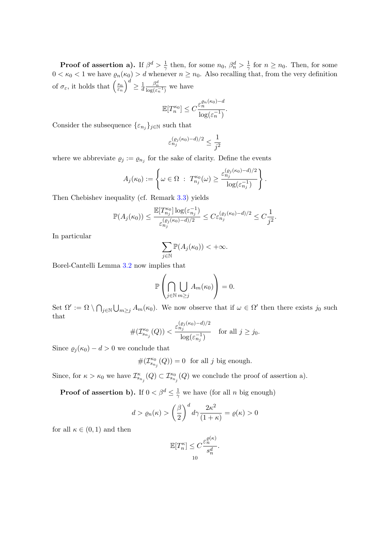**Proof of assertion a).** If  $\beta^d > \frac{1}{2}$  $\frac{1}{\gamma}$  then, for some  $n_0$ ,  $\beta_n^d > \frac{1}{\gamma}$  $\frac{1}{\gamma}$  for  $n \geq n_0$ . Then, for some  $0 < \kappa_0 < 1$  we have  $\varrho_n(\kappa_0) > d$  whenever  $n \geq n_0$ . Also recalling that, from the very definition of  $\sigma_{\varepsilon}$ , it holds that  $\left(\frac{s_n}{\varepsilon_n}\right)$  $\left(\frac{s_n}{\varepsilon_n}\right)^d \geq \frac{1}{d}$ d  $\frac{\beta_n^d}{\log(\varepsilon_n^{-1})}$  we have

$$
\mathbb{E}[T_n^{\kappa_0}] \leq C \frac{\varepsilon_n^{\varrho_n(\kappa_0)-d}}{\log(\varepsilon_n^{-1})}.
$$

Consider the subsequence  $\{\varepsilon_{n_j}\}_{j\in\mathbb{N}}$  such that

$$
\varepsilon_{n_j}^{(\varrho_j(\kappa_0)-d)/2}\leq \frac{1}{j^2}
$$

where we abbreviate  $\rho_j := \rho_{n_j}$  for the sake of clarity. Define the events

$$
A_j(\kappa_0) := \left\{ \omega \in \Omega \; : \; T_{n_j}^{\kappa_0}(\omega) \geq \frac{\varepsilon_{n_j}^{(\varrho_j(\kappa_0) - d)/2}}{\log(\varepsilon_{n_j}^{-1})} \right\}.
$$

Then Chebishev inequality (cf. Remark [3.3\)](#page-6-3) yields

$$
\mathbb{P}(A_j(\kappa_0)) \leq \frac{\mathbb{E}[T_{n_j}^{\kappa_0}]\log(\varepsilon_{n_j}^{-1})}{\varepsilon_{n_j}^{(\varrho_j(\kappa_0)-d)/2}} \leq C \varepsilon_{n_j}^{(\varrho_j(\kappa_0)-d)/2} \leq C \frac{1}{j^2}.
$$

In particular

$$
\sum_{j\in\mathbb{N}}\mathbb{P}(A_j(\kappa_0))<+\infty.
$$

Borel-Cantelli Lemma [3.2](#page-5-3) now implies that

$$
\mathbb{P}\left(\bigcap_{j\in\mathbb{N}}\bigcup_{m\geq j}A_m(\kappa_0)\right)=0.
$$

Set  $\Omega' := \Omega \setminus \bigcap_{j \in \mathbb{N}} \bigcup_{m \geq j} A_m(\kappa_0)$ . We now observe that if  $\omega \in \Omega'$  then there exists j<sub>0</sub> such that

$$
\#(\mathcal{I}_{s_{n_j}}^{\kappa_0}(Q)) < \frac{\varepsilon_{n_j}^{(\varrho_j(\kappa_0)-d)/2}}{\log(\varepsilon_{n_j}^{-1})} \quad \text{for all } j \ge j_0.
$$

Since  $\varrho_j(\kappa_0) - d > 0$  we conclude that

$$
\#(\mathcal{I}_{s_{n_j}}^{\kappa_0}(Q)) = 0 \text{ for all } j \text{ big enough.}
$$

Since, for  $\kappa > \kappa_0$  we have  $\mathcal{I}_{s_{n_j}}^{\kappa}(Q) \subset \mathcal{I}_{s_{n_j}}^{\kappa}(Q)$  we conclude the proof of assertion a).

**Proof of assertion b).** If  $0 < \beta^d \leq \frac{1}{\gamma}$  we have (for all *n* big enough)

$$
d > \varrho_n(\kappa) > \left(\frac{\beta}{2}\right)^d d\gamma \frac{2\kappa^2}{(1+\kappa)} = \varrho(\kappa) > 0
$$

for all  $\kappa \in (0,1)$  and then

$$
\mathbb{E}[T_n^{\kappa}] \le C \frac{\varepsilon_n^{\varrho(\kappa)}}{s_n^d}.
$$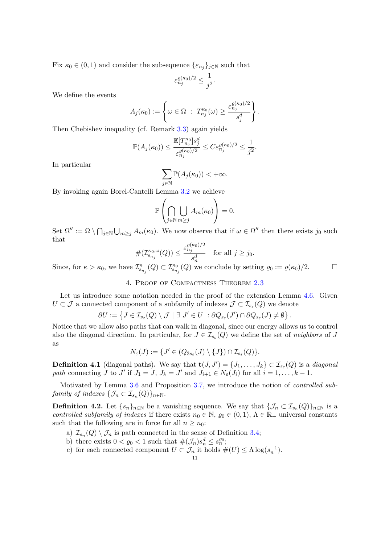Fix  $\kappa_0 \in (0,1)$  and consider the subsequence  $\{\varepsilon_{n_j}\}_{j\in\mathbb{N}}$  such that

$$
\varepsilon_{n_j}^{\varrho(\kappa_0)/2}\leq \frac{1}{j^2}.
$$

We define the events

$$
A_j(\kappa_0) := \left\{ \omega \in \Omega \; : \; T_{n_j}^{\kappa_0}(\omega) \geq \frac{\varepsilon_{n_j}^{\varrho(\kappa_0)/2}}{s_j^d} \right\}.
$$

Then Chebishev inequality (cf. Remark [3.3\)](#page-6-3) again yields

$$
\mathbb{P}(A_j(\kappa_0))\leq \frac{\mathbb{E}[T^{\kappa_0}_{n_j}]s_j^d}{\varepsilon_{n_j}^{\varrho(\kappa_0)/2}}\leq C\varepsilon_{n_j}^{\varrho(\kappa_0)/2}\leq \frac{1}{j^2}.
$$

In particular

$$
\sum_{j\in\mathbb{N}}\mathbb{P}(A_j(\kappa_0))<+\infty.
$$

By invoking again Borel-Cantelli Lemma [3.2](#page-5-3) we achieve

$$
\mathbb{P}\left(\bigcap_{j\in\mathbb{N}}\bigcup_{m\geq j}A_m(\kappa_0)\right)=0.
$$

Set  $\Omega'' := \Omega \setminus \bigcap_{j \in \mathbb{N}} \bigcup_{m \geq j} A_m(\kappa_0)$ . We now observe that if  $\omega \in \Omega''$  then there exists  $j_0$  such that

$$
\#(\mathcal{I}_{s_{n_j}}^{\kappa_0,\omega}(Q)) \le \frac{\varepsilon_{n_j}^{\varrho(\kappa_0)/2}}{s_n^d} \quad \text{for all } j \ge j_0.
$$

Since, for  $\kappa > \kappa_0$ , we have  $\mathcal{I}_{s_{n_j}}^{\kappa}(Q) \subset \mathcal{I}_{s_{n_j}}^{\kappa_0}(Q)$  we conclude by setting  $\varrho_0 := \varrho(\kappa_0)/2$ .

# 4. Proof of Compactness Theorem [2.3](#page-4-0)

<span id="page-10-0"></span>Let us introduce some notation needed in the proof of the extension Lemma [4.6.](#page-11-0) Given  $U \subset \mathcal{J}$  a connected component of a subfamily of indexes  $\mathcal{J} \subset \mathcal{I}_{s_{\varepsilon}}(Q)$  we denote

$$
\partial U := \left\{ J \in \mathcal{I}_{s_{\varepsilon}}(Q) \setminus \mathcal{J} \mid \exists J' \in U \ : \partial Q_{s_{\varepsilon}}(J') \cap \partial Q_{s_{\varepsilon}}(J) \neq \emptyset \right\}.
$$

Notice that we allow also paths that can walk in diagonal, since our energy allows us to control also the diagonal direction. In particular, for  $J \in \mathcal{I}_{s_{\varepsilon}}(Q)$  we define the set of neighbors of J as

$$
N_{\varepsilon}(J) := \{ J' \in (Q_{3s_{\varepsilon}}(J) \setminus \{J\}) \cap \mathcal{I}_{s_{\varepsilon}}(Q) \}.
$$

**Definition 4.1** (diagonal paths). We say that  $\mathbf{t}(J, J') = \{J_1, \ldots, J_k\} \subset \mathcal{I}_{s_{\varepsilon}}(Q)$  is a *diagonal* path connecting  $J$  to  $J'$  if  $J_1 = J$ ,  $J_k = J'$  and  $J_{i+1} \in N_{\varepsilon}(J_i)$  for all  $i = 1, ..., k - 1$ .

Motivated by Lemma [3.6](#page-7-0) and Proposition [3.7,](#page-8-0) we introduce the notion of controlled subfamily of indexes  $\{\mathcal{J}_n \subset \mathcal{I}_{s_n}(Q)\}_{n \in \mathbb{N}}$ .

<span id="page-10-1"></span>**Definition 4.2.** Let  $\{s_n\}_{n\in\mathbb{N}}$  be a vanishing sequence. We say that  $\{\mathcal{J}_n \subset \mathcal{I}_{s_n}(Q)\}_{n\in\mathbb{N}}$  is a controlled subfamily of indexes if there exists  $n_0 \in \mathbb{N}$ ,  $\varrho_0 \in (0,1)$ ,  $\Lambda \in \mathbb{R}_+$  universal constants such that the following are in force for all  $n \geq n_0$ :

- a)  $\mathcal{I}_{s_n}(Q) \setminus \mathcal{J}_n$  is path connected in the sense of Definition [3.4;](#page-6-4)
- b) there exists  $0 < \varrho_0 < 1$  such that  $\#(\mathcal{J}_n) s_n^d \leq s_n^{\varrho_0}$ ;
- c) for each connected component  $U \subset \mathcal{J}_n$  it holds  $\#(U) \leq \Lambda \log(s_n^{-1})$ .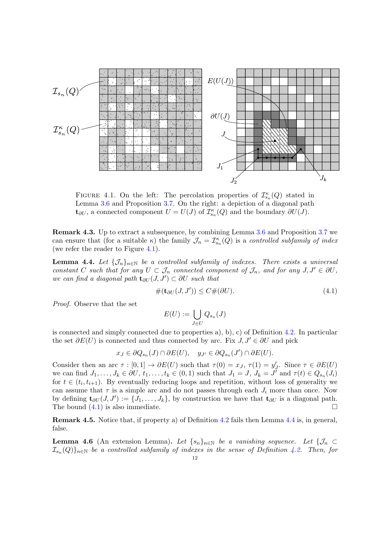<span id="page-11-1"></span>

FIGURE 4.1. On the left: The percolation properties of  $\mathcal{I}_{s_n}^{\kappa}(Q)$  stated in Lemma [3.6](#page-7-0) and Proposition [3.7.](#page-8-0) On the right: a depiction of a diagonal path **t**<sub>∂U</sub>, a connected component  $U = U(J)$  of  $\mathcal{I}_{s_n}^{\kappa}(Q)$  and the boundary ∂U(J).

Remark 4.3. Up to extract a subsequence, by combining Lemma [3.6](#page-7-0) and Proposition [3.7](#page-8-0) we can ensure that (for a suitable  $\kappa$ ) the family  $\mathcal{J}_n = \mathcal{I}_{s_n}^{\kappa}(Q)$  is a controlled subfamily of index (we refer the reader to Figure [4.1\)](#page-11-1).

<span id="page-11-3"></span>**Lemma 4.4.** Let  $\{\mathcal{J}_n\}_{n\in\mathbb{N}}$  be a controlled subfamily of indexes. There exists a universal constant C such that for any  $U \subset \mathcal{J}_n$  connected component of  $\mathcal{J}_n$ , and for any  $J, J' \in \partial U$ , we can find a diagonal path  $\mathbf{t}_{\partial U}(J, J') \subset \partial U$  such that

<span id="page-11-2"></span>#(t∂U (J, J′ )) ≤ C#(∂U). (4.1)

Proof. Observe that the set

$$
E(U) := \bigcup_{J \in U} Q_{s_n}(J)
$$

is connected and simply connected due to properties a), b), c) of Definition [4.2.](#page-10-1) In particular the set  $\partial E(U)$  is connected and thus connected by arc. Fix  $J, J' \in \partial U$  and pick

$$
x_J \in \partial Q_{s_n}(J) \cap \partial E(U), \quad y_{J'} \in \partial Q_{s_n}(J') \cap \partial E(U).
$$

Consider then an arc  $\tau : [0,1] \to \partial E(U)$  such that  $\tau(0) = x_J$ ,  $\tau(1) = y'_J$ . Since  $\tau \in \partial E(U)$ Consider then an arc  $\tau$  .  $[0, 1] \to 0$   $L(U)$  such that  $\tau(0) = xJ, \tau(1) = yJ$ . Since  $\tau \in \partial L(U)$ <br>we can find  $J_1, \ldots, J_k \in \partial U, t_1, \ldots, t_k \in (0, 1)$  such that  $J_1 = J, J_k = J'$  and  $\tau(t) \in Q_{s_n}(J_i)$ for  $t \in (t_i, t_{i+1})$ . By eventually reducing loops and repetition, without loss of generality we can assume that  $\tau$  is a simple arc and do not passes through each  $J_i$  more than once. Now by defining  $\mathbf{t}_{\partial U}(J, J') := \{J_1, \ldots, J_k\}$ , by construction we have that  $\mathbf{t}_{\partial U}$  is a diagonal path. The bound  $(4.1)$  is also immediate.  $\Box$ 

Remark 4.5. Notice that, if property a) of Definition [4.2](#page-10-1) fails then Lemma [4.4](#page-11-3) is, in general, false.

<span id="page-11-0"></span>**Lemma 4.6** (An extension Lemma). Let  $\{s_n\}_{n\in\mathbb{N}}$  be a vanishing sequence. Let  $\{\mathcal{J}_n\subset\mathcal{J}_n\}$  $\mathcal{I}_{s_n}(Q)\}_{n\in\mathbb{N}}$  be a controlled subfamily of indexes in the sense of Definition [4.2.](#page-10-1) Then, for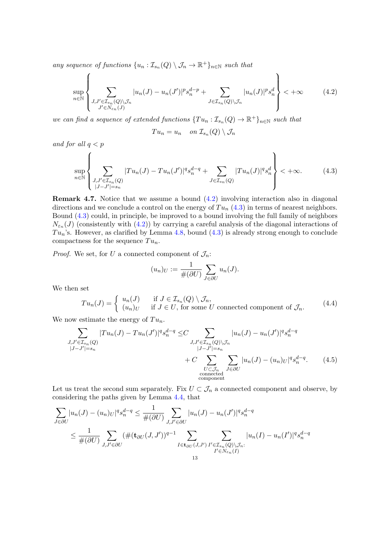any sequence of functions  $\{u_n : \mathcal{I}_{s_n}(Q) \setminus \mathcal{J}_n \to \mathbb{R}^+\}_{n \in \mathbb{N}}$  such that

<span id="page-12-0"></span>
$$
\sup_{n\in\mathbb{N}}\left\{\sum_{\substack{J,J'\in\mathcal{I}_{s_n}(Q)\backslash\mathcal{J}_n\\J'\in N_{\varepsilon_n}(J)}}|u_n(J)-u_n(J')|^p s_n^{d-p}+\sum_{J\in\mathcal{I}_{s_n}(Q)\backslash\mathcal{J}_n}|u_n(J)|^p s_n^d\right\}<+\infty\tag{4.2}
$$

 $\lambda$ 

we can find a sequence of extended functions  $\{Tu_n : \mathcal{I}_{s_n}(Q) \to \mathbb{R}^+\}_{n \in \mathbb{N}}$  such that

$$
Tu_n = u_n \quad on \ \mathcal{I}_{s_n}(Q) \setminus \mathcal{J}_n
$$

and for all  $q < p$ 

<span id="page-12-1"></span>
$$
\sup_{n \in \mathbb{N}} \left\{ \sum_{\substack{J, J' \in \mathcal{I}_{s_n}(Q) \\ |J - J'| = s_n}} |Tu_n(J) - Tu_n(J')|^q s_n^{d - q} + \sum_{J \in \mathcal{I}_{s_n}(Q)} |Tu_n(J)|^q s_n^d \right\} < +\infty. \tag{4.3}
$$

Remark 4.7. Notice that we assume a bound [\(4.2\)](#page-12-0) involving interaction also in diagonal directions and we conclude a control on the energy of  $Tu_n$  [\(4.3\)](#page-12-1) in terms of nearest neighbors. Bound [\(4.3\)](#page-12-1) could, in principle, be improved to a bound involving the full family of neighbors  $N_{\varepsilon_n}(J)$  (consistently with  $(4.2)$ ) by carrying a careful analysis of the diagonal interactions of  $Tu_n$ 's. However, as clarified by Lemma [4.8,](#page-16-0) bound  $(4.3)$  is already strong enough to conclude compactness for the sequence  $Tu_n$ .

*Proof.* We set, for U a connected component of  $\mathcal{J}_n$ :

<span id="page-12-2"></span>
$$
(u_n)_U := \frac{1}{\#(\partial U)} \sum_{J \in \partial U} u_n(J).
$$

We then set

$$
Tu_n(J) = \begin{cases} u_n(J) & \text{if } J \in \mathcal{I}_{s_n}(Q) \setminus \mathcal{J}_n, \\ (u_n)_U & \text{if } J \in U, \text{ for some } U \text{ connected component of } \mathcal{J}_n. \end{cases}
$$
(4.4)

We now estimate the energy of  $Tu_n$ .

$$
\sum_{\substack{J,J' \in \mathcal{I}_{s_n}(Q) \\ |J-J'|=s_n}} |Tu_n(J) - Tu_n(J')|^q s_n^{d-q} \leq C \sum_{\substack{J,J' \in \mathcal{I}_{s_n}(Q) \backslash \mathcal{J}_n \\ |J-J'|=s_n \\ U \subset \mathcal{J}_n}} |u_n(J) - u_n(J')|^{q} s_n^{d-q} + C \sum_{\substack{U \subset \mathcal{J}_n \\ \text{connected} \\ \text{connected} \\ \text{connected} \\ \text{connected} \\ \text{connected} \\ \text{connected} \\ \text{connected} \\ \text{connected} \\ \text{connected} \\ \text{connected} \\ \text{connected} \\ \text{connected} \\ \tag{4.5}
$$

Let us treat the second sum separately. Fix  $U \subset \mathcal{J}_n$  a connected component and observe, by considering the paths given by Lemma [4.4,](#page-11-3) that

$$
\sum_{J \in \partial U} |u_n(J) - (u_n)_U|^q s_n^{d-q} \le \frac{1}{\#(\partial U)} \sum_{J, J' \in \partial U} |u_n(J) - u_n(J')|^{q} s_n^{d-q}
$$
\n
$$
\le \frac{1}{\#(\partial U)} \sum_{J, J' \in \partial U} (\#(\mathbf{t}_{\partial U}(J, J'))^{q-1} \sum_{\substack{I \in \mathbf{t}_{\partial U}(J, J') \\ I' \in N_{\varepsilon_n}(Q) \setminus \mathcal{J}_n:\\13} } |u_n(I) - u_n(I')|^{q} s_n^{d-q}
$$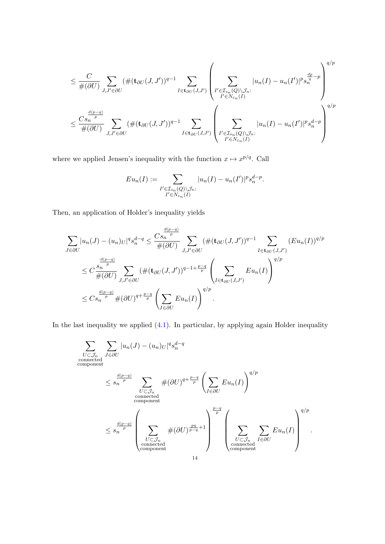$$
\leq \frac{C}{\#(\partial U)} \sum_{J,J'\in\partial U} (\#(\mathbf{t}_{\partial U}(J,J'))^{q-1} \sum_{I\in\mathbf{t}_{\partial U}(J,J')} \left(\sum_{\substack{I'\in\mathcal{I}_{s_n}(Q)\backslash\mathcal{J}_n:\ I'\in N_{\varepsilon_n}(I)}} |u_n(I)-u_n(I')|^{p} s_n^{\frac{dp}{q}-p}\right)^{q/p}
$$
  

$$
\leq \frac{Cs_n^{-\frac{d(p-q)}{p}}}{\#(\partial U)} \sum_{J,J'\in\partial U} (\#(\mathbf{t}_{\partial U}(J,J'))^{q-1} \sum_{I\in\mathbf{t}_{\partial U}(J,J')} \left(\sum_{\substack{I'\in\mathcal{I}_{s_n}(Q)\backslash\mathcal{J}_n:\ I'\in N_{\varepsilon_n}(I)}} |u_n(I)-u_n(I')|^{p} s_n^{d-p}\right)^{q/p}
$$

where we applied Jensen's inequality with the function  $x \mapsto x^{p/q}$ . Call

$$
Eu_n(I) := \sum_{\substack{I' \in \mathcal{I}_{s_n}(Q) \backslash \mathcal{J}_n:\\I' \in N_{\varepsilon_n}(I)}} |u_n(I) - u_n(I')|^{p} s_n^{d-p}.
$$

Then, an application of Holder's inequality yields

$$
\sum_{J \in \partial U} |u_n(J) - (u_n)_U|^q s_n^{d-q} \leq \frac{Cs_n^{\frac{d(p-q)}{p}}}{\#(\partial U)} \sum_{J,J' \in \partial U} (\#(\mathbf{t}_{\partial U}(J,J'))^{q-1} \sum_{I \in \mathbf{t}_{\partial U}(J,J')} (Eu_n(I))^{q/p}
$$
  

$$
\leq C \frac{s_n^{\frac{d(p-q)}{p}}}{\#(\partial U)} \sum_{J,J' \in \partial U} (\#(\mathbf{t}_{\partial U}(J,J'))^{q-1+\frac{p-q}{p}} \left(\sum_{I \in \mathbf{t}_{\partial U}(J,J')} Eu_n(I)\right)^{q/p}
$$
  

$$
\leq Cs_n^{\frac{d(p-q)}{p}} \#(\partial U)^{q+\frac{p-q}{p}} \left(\sum_{I \in \partial U} Eu_n(I)\right)^{q/p}.
$$

In the last inequality we applied  $(4.1)$ . In particular, by applying again Holder inequality

$$
\sum_{U \subset \mathcal{J}_n} \sum_{J \in \partial U} |u_n(J) - (u_n)_U|^q s_n^{d-q}
$$
\n
$$
\leq s_n^{\frac{d(p-q)}{p}} \sum_{\substack{U \subset \mathcal{J}_n \\ \text{connected} \\ \text{component}}} \#(\partial U)^{q + \frac{p-q}{p}} \left( \sum_{I \in \partial U} E u_n(I) \right)^{q/p}
$$
\n
$$
\leq s_n^{\frac{d(p-q)}{p}} \left( \sum_{\substack{U \subset \mathcal{J}_n \\ \text{connected} \\ \text{connected} \\ \text{component}}} \#(\partial U)^{\frac{pq}{p-q} + 1} \right)^{\frac{p-q}{p}} \left( \sum_{\substack{U \subset \mathcal{J}_n \\ \text{connected} \\ \text{component}}} \sum_{I \in \partial U} E u_n(I) \right)^{q/p}.
$$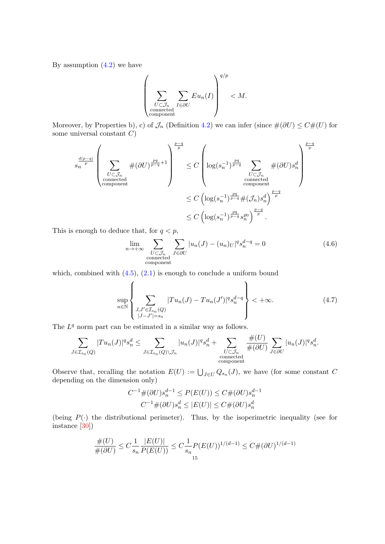By assumption  $(4.2)$  we have

$$
\left(\sum_{\substack{U \subset \mathcal{J}_n \\ \text{connected} \\ \text{component}}} \sum_{I \in \partial U} Eu_n(I)\right)^{q/p} < M.
$$

Moreover, by Properties b), c) of  $\mathcal{J}_n$  (Definition [4.2\)](#page-10-1) we can infer (since  $\#(\partial U) \leq C \#(U)$  for some universal constant  $C$ )

$$
s_{n} \sum_{p} \frac{d(p-q)}{p} \left( \sum_{\substack{U \subset \mathcal{J}_{n} \\ \text{connected} \\ \text{component}}} \#(\partial U)^{\frac{pq}{p-q}+1} \right)^{\frac{p-q}{p}} \leq C \left( \log(s_{n}^{-1})^{\frac{pq}{p-q}} \sum_{\substack{U \subset \mathcal{J}_{n} \\ \text{connected} \\ \text{component} \\ \leq C \left( \log(s_{n}^{-1})^{\frac{pq}{p-q}} \#(\mathcal{J}_{n}) s_{n}^{d} \right)^{\frac{p-q}{p}} \right)^{\frac{p-q}{p}}}
$$

$$
\leq C \left( \log(s_{n}^{-1})^{\frac{pq}{p-q}} \#(\mathcal{J}_{n}) s_{n}^{d} \right)^{\frac{p-q}{p}}.
$$

This is enough to deduce that, for  $q < p$ ,

$$
\lim_{n \to +\infty} \sum_{\substack{U \subset \mathcal{J}_n \\ \text{connected} \\ \text{component}}} \sum_{J \in \partial U} |u_n(J) - (u_n)_U|^{q} s_n^{d-q} = 0 \tag{4.6}
$$

which, combined with  $(4.5)$ ,  $(2.1)$  is enough to conclude a uniform bound

<span id="page-14-0"></span>
$$
\sup_{n \in \mathbb{N}} \left\{ \sum_{\substack{J, J' \in \mathcal{I}_{s_n}(Q) \\ |J - J'| = s_n}} |Tu_n(J) - Tu_n(J')|^{q} s_n^{d - q} \right\} < +\infty.
$$
 (4.7)

The  $L<sup>q</sup>$  norm part can be estimated in a similar way as follows.

$$
\sum_{J \in \mathcal{I}_{s_n}(Q)} |Tu_n(J)|^q s_n^d \le \sum_{J \in \mathcal{I}_{s_n}(Q) \setminus \mathcal{J}_n} |u_n(J)|^q s_n^d + \sum_{\substack{U \subset \mathcal{J}_n \\ \text{connected} \\ \text{connected} \\ \text{connected} }} \frac{\#(U)}{\#(\partial U)} \sum_{J \in \partial U} |u_n(J)|^q s_n^d.
$$

Observe that, recalling the notation  $E(U) := \bigcup_{J \in U} Q_{s_n}(J)$ , we have (for some constant C depending on the dimension only)

$$
C^{-1} \#(\partial U) s_n^{d-1} \le P(E(U)) \le C \#(\partial U) s_n^{d-1}
$$
  

$$
C^{-1} \#(\partial U) s_n^d \le |E(U)| \le C \#(\partial U) s_n^d
$$

(being  $P(\cdot)$  the distributional perimeter). Thus, by the isoperimetric inequality (see for instance [\[30\]](#page-19-9))

$$
\frac{\#(U)}{\#(\partial U)} \le C \frac{1}{s_n} \frac{|E(U)|}{P(E(U))} \le C \frac{1}{s_n} P(E(U))^{1/(d-1)} \le C \#(\partial U)^{1/(d-1)}
$$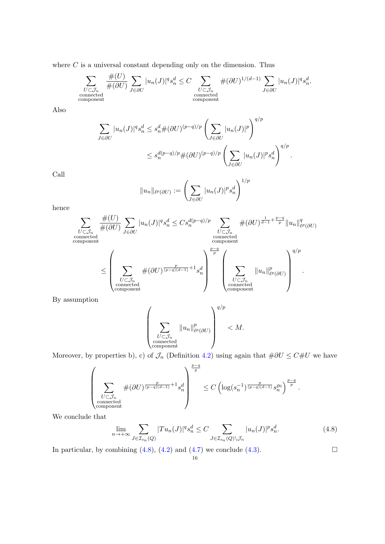where  $C$  is a universal constant depending only on the dimension. Thus

$$
\sum_{\substack{U \subset \mathcal{J}_n \\ \text{connected} \\ \text{component}}} \frac{\#(U)}{\#(\partial U)} \sum_{J \in \partial U} |u_n(J)|^q s_n^d \le C \sum_{\substack{U \subset \mathcal{J}_n \\ \text{connected} \\ \text{component}}} \#(\partial U)^{1/(d-1)} \sum_{J \in \partial U} |u_n(J)|^q s_n^d.
$$

Also

$$
\sum_{J \in \partial U} |u_n(J)|^q s_n^d \le s_n^d \#(\partial U)^{(p-q)/p} \left(\sum_{J \in \partial U} |u_n(J)|^p\right)^{q/p}
$$
  

$$
\le s_n^{d(p-q)/p} \#(\partial U)^{(p-q)/p} \left(\sum_{J \in \partial U} |u_n(J)|^p s_n^d\right)^{q/p}.
$$

Call

$$
||u_n||_{\ell^p(\partial U)} := \left(\sum_{J \in \partial U} |u_n(J)|^p s_n^d\right)^{1/p}
$$

hence

$$
\sum_{\substack{U \subset \mathcal{J}_n \\ \text{connected}}} \frac{\#(U)}{\#(\partial U)} \sum_{J \in \partial U} |u_n(J)|^q s_n^d \leq C s_n^{d(p-q)/p} \sum_{\substack{U \subset \mathcal{J}_n \\ \text{connected} \\ \text{component}}} \#(\partial U)^{\frac{1}{d-1} + \frac{p-q}{p}} \|u_n\|_{\ell^p(\partial U)}^q
$$

$$
\leq \left(\sum_{\substack{U \subset \mathcal{J}_n \\ \text{connected} \\ \text{connected} \\ \text{connected} \\ \text{component}}} \#(\partial U)^{\frac{p}{(p-q)(d-1)} + 1} s_n^d\right)^{\frac{p-q}{p}} \left(\sum_{\substack{U \subset \mathcal{J}_n \\ \text{connected} \\ \text{connected} \\ \text{component}}} \|u_n\|_{\ell^p(\partial U)}^p\right)^{q/p}.
$$

By assumption

$$
\left(\sum_{\substack{U\subset\mathcal{J}_n\\ \text{connected} \\ \text{component}}} \|u_n\|_{\ell^p(\partial U)}^p\right)^{q/p} < M.
$$

Moreover, by properties b), c) of  $\mathcal{J}_n$  (Definition [4.2\)](#page-10-1) using again that  $\#\partial U \leq C\#U$  we have

$$
\left(\sum_{\substack{U\subset \mathcal{J}_n\\ \text{connected}\\\text{component}}} \#(\partial U)^{\frac{p}{(p-q)(d-1)}+1}s_n^d\right)^{\frac{p-q}{p}}\leq C\left(\log(s_n^{-1})^{\frac{p}{(p-q)(d-1)}}s_n^{ \varrho_0}\right)^{\frac{p-q}{p}}.
$$

We conclude that

<span id="page-15-0"></span>
$$
\lim_{n \to +\infty} \sum_{J \in \mathcal{I}_{s_n}(Q)} |Tu_n(J)|^q s_n^d \le C \sum_{J \in \mathcal{I}_{s_n}(Q) \backslash \mathcal{J}_n} |u_n(J)|^p s_n^d. \tag{4.8}
$$

In particular, by combining [\(4.8\)](#page-15-0), [\(4.2\)](#page-12-0) and [\(4.7\)](#page-14-0) we conclude [\(4.3\)](#page-12-1).  $\Box$ 16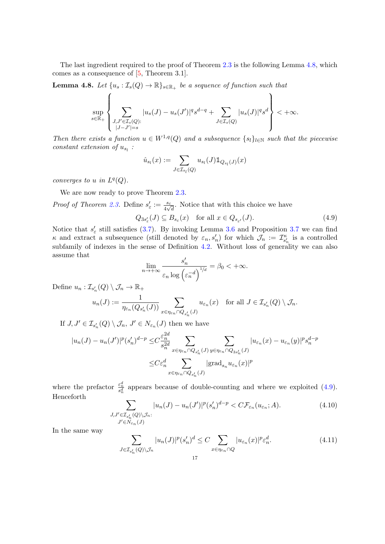The last ingredient required to the proof of Theorem [2.3](#page-4-0) is the following Lemma [4.8,](#page-16-0) which comes as a consequence of [\[5,](#page-18-0) Theorem 3.1].

<span id="page-16-0"></span>**Lemma 4.8.** Let  $\{u_s : \mathcal{I}_s(Q) \to \mathbb{R}\}_{s \in \mathbb{R}_+}$  be a sequence of function such that

$$
\sup_{s\in\mathbb{R}_+}\left\{\sum_{\substack{J,J'\in\mathcal{I}_s(Q):\\|J-J'|=s}}|u_s(J)-u_s(J')|^qs^{d-q}+\sum_{J\in\mathcal{I}_s(Q)}|u_s(J)|^qs^d\right\}<+\infty.
$$

Then there exists a function  $u \in W^{1,q}(Q)$  and a subsequence  $\{s_l\}_{l \in \mathbb{N}}$  such that the piecewise constant extension of  $u_{s_l}$ :

$$
\hat{u}_{s_l}(x) := \sum_{J \in \mathcal{I}_{s_l}(Q)} u_{s_l}(J) \mathbb{1}_{Q_{s_l}(J)}(x)
$$

converges to u in  $L^q(Q)$ .

We are now ready to prove Theorem [2.3.](#page-4-0)

*Proof of Theorem [2.3.](#page-4-0)* Define  $s'_{\varepsilon} := \frac{s_{\varepsilon}}{4\sqrt{d}}$ . Notice that with this choice we have

<span id="page-16-1"></span>
$$
Q_{3s'_{\varepsilon}}(J) \subseteq B_{s_{\varepsilon}}(x) \quad \text{for all } x \in Q_{s_{\varepsilon'}}(J). \tag{4.9}
$$

Notice that  $s'_{\varepsilon}$  still satisfies [\(3.7\)](#page-8-1). By invoking Lemma [3.6](#page-7-0) and Proposition [3.7](#page-8-0) we can find  $\kappa$  and extract a subsequence (still denoted by  $\varepsilon_n, s'_n$ ) for which  $\mathcal{J}_n := \mathcal{I}_{s'_n}^{\kappa}$  is a controlled subfamily of indexes in the sense of Definition [4.2.](#page-10-1) Without loss of generality we can also assume that

$$
\lim_{n \to +\infty} \frac{s'_n}{\varepsilon_n \log \left(\varepsilon_n^{-d}\right)^{1/d}} = \beta_0 < +\infty.
$$

Define  $u_n: \mathcal{I}_{s'_n}(Q) \setminus \mathcal{J}_n \to \mathbb{R}_+$ 

$$
u_n(J) := \frac{1}{\eta_{\varepsilon_n}(Q_{s'_n}(J))} \sum_{x \in \eta_{\varepsilon_n} \cap Q_{s'_n}(J)} u_{\varepsilon_n}(x) \quad \text{for all } J \in \mathcal{I}_{s'_n}(Q) \setminus \mathcal{J}_n.
$$

If  $J, J' \in \mathcal{I}_{s'_n}(Q) \setminus \mathcal{J}_n, J' \in N_{\varepsilon_n}(J)$  then we have

$$
|u_n(J) - u_n(J')|^p (s'_n)^{d-p} \leq C \frac{\varepsilon_n^{2d}}{s_n^{2d}} \sum_{x \in \eta_{\varepsilon_n} \cap Q_{s'_n}(J)} \sum_{y \in \eta_{\varepsilon_n} \cap Q_{3s'_n}(J)} |u_{\varepsilon_n}(x) - u_{\varepsilon_n}(y)|^p s_n^{d-p}
$$
  

$$
\leq C \varepsilon_n^d \sum_{x \in \eta_{\varepsilon_n} \cap Q_{s'_n}(J)} |\text{grad}_{s_n} u_{\varepsilon_n}(x)|^p
$$

where the prefactor  $\frac{\varepsilon_n^d}{s_n^d}$  appears because of double-counting and where we exploited [\(4.9\)](#page-16-1). Henceforth

$$
\sum_{\substack{J,J' \in \mathcal{I}_{s'_n}(Q) \backslash \mathcal{J}_n:\\J' \in N_{\varepsilon_n}(J)}} |u_n(J) - u_n(J')|^p (s'_n)^{d-p} < C \mathcal{F}_{\varepsilon_n}(u_{\varepsilon_n}; A). \tag{4.10}
$$

In the same way

$$
\sum_{J \in \mathcal{I}_{s'_n}(Q) \backslash \mathcal{J}_n} |u_n(J)|^p (s'_n)^d \le C \sum_{x \in \eta_{\varepsilon_n} \cap Q} |u_{\varepsilon_n}(x)|^p \varepsilon_n^d. \tag{4.11}
$$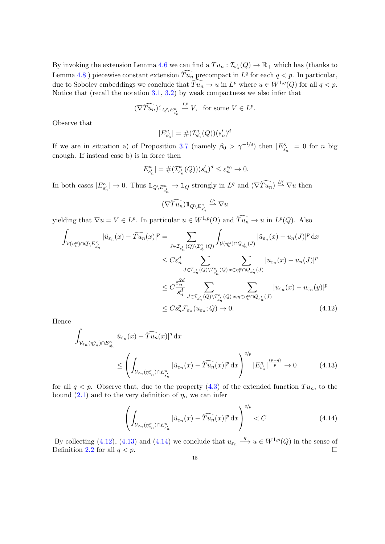By invoking the extension Lemma [4.6](#page-11-0) we can find a  $Tu_n : \mathcal{I}_{s'_n}(Q) \to \mathbb{R}_+$  which has (thanks to Lemma [4.8](#page-16-0)) piecewise constant extension  $\widehat{T}u_n$  precompact in  $L^q$  for each  $q < p$ . In particular, due to Sobolev embeddings we conclude that  $\widehat{T u_n} \to u$  in  $L^p$  where  $u \in W^{1,q}(Q)$  for all  $q < p$ . Notice that (recall the notation  $3.1, 3.2$  $3.1, 3.2$ ) by weak compactness we also infer that

$$
(\widehat{\nabla Tu_n}) 1\!\!1_{Q \setminus E_{s'_n}^\kappa} \stackrel{L^p}{\rightharpoonup} V, \ \ \text{for some}\ V \in L^p.
$$

Observe that

$$
|E_{s_n'}^\kappa|=\#(\mathcal{I}_{s_n'}^\kappa(Q))(s_n')^d
$$

If we are in situation a) of Proposition [3.7](#page-8-0) (namely  $\beta_0 > \gamma^{-1/d}$ ) then  $|E_{s'_n}^{\kappa}| = 0$  for n big enough. If instead case b) is in force then

$$
|E_{s_n'}^\kappa|=\#(\mathcal{I}_{s_n'}^\kappa(Q))(s_n')^d\leq\varepsilon_n^{\varrho_0}\to 0.
$$

In both cases  $|E_{s'_n}^{\kappa}| \to 0$ . Thus  $\mathbb{1}_{Q \setminus E_{s'_n}^{\kappa}} \to \mathbb{1}_Q$  strongly in  $L^q$  and  $(\nabla \widehat{T u_n}) \stackrel{L^q}{\to} \nabla u$  then

<span id="page-17-0"></span>
$$
(\widehat{\nabla Tu_n})\mathbbm{1}_{Q\backslash E_{s'_n}^{\kappa}}\stackrel{L^q}{\rightharpoonup}\nabla u
$$

yielding that  $\nabla u = V \in L^p$ . In particular  $u \in W^{1,p}(\Omega)$  and  $\widehat{T}u_n \to u$  in  $L^p(Q)$ . Also

$$
\int_{\mathcal{V}(\eta_{\varepsilon}^{\alpha})\cap Q\backslash E_{s_{n}}^{\kappa}} |\hat{u}_{\varepsilon_{n}}(x) - \widehat{T u_{n}}(x)|^{p} = \sum_{J \in \mathcal{I}_{s_{n}}(Q)\backslash \mathcal{I}_{s_{n}}^{\kappa}(Q)} \int_{\mathcal{V}(\eta_{\varepsilon}^{\alpha})\cap Q_{s_{n}}(J)} |\hat{u}_{\varepsilon_{n}}(x) - u_{n}(J)|^{p} dx
$$
\n
$$
\leq C \varepsilon_{n}^{d} \sum_{J \in \mathcal{I}_{s_{n}}(Q)\backslash \mathcal{I}_{s_{n}}^{\kappa}(Q)} \sum_{x \in \eta_{\varepsilon}^{\alpha}\cap Q_{s_{n}}(J)} |u_{\varepsilon_{n}}(x) - u_{n}(J)|^{p}
$$
\n
$$
\leq C \frac{\varepsilon_{n}^{2d}}{s_{n}^{d}} \sum_{J \in \mathcal{I}_{s_{n}}(Q)\backslash \mathcal{I}_{s_{n}}^{\kappa}(Q)} \sum_{x, y \in \eta_{\varepsilon}^{\alpha}\cap Q_{s_{n}}(J)} |u_{\varepsilon_{n}}(x) - u_{\varepsilon_{n}}(y)|^{p}
$$
\n
$$
\leq C s_{n}^{p} \mathcal{F}_{\varepsilon_{n}}(u_{\varepsilon_{n}}; Q) \to 0.
$$
\n(4.12)

Hence

$$
\int_{\mathcal{V}_{\varepsilon_n}(\eta_{\varepsilon_n}^{\alpha}) \cap E_{s'_n}^{\kappa}} |\hat{u}_{\varepsilon_n}(x) - \widehat{T u_n}(x)|^q dx
$$
\n
$$
\leq \left( \int_{\mathcal{V}_{\varepsilon_n}(\eta_{\varepsilon_n}^{\alpha}) \cap E_{s'_n}^{\kappa}} |\hat{u}_{\varepsilon_n}(x) - \widehat{T u_n}(x)|^p dx \right)^{q/p} |E_{s'_n}^{\kappa}|^{\frac{(p-q)}{p}} \to 0 \tag{4.13}
$$

for all  $q < p$ . Observe that, due to the property [\(4.3\)](#page-12-1) of the extended function  $Tu_n$ , to the bound [\(2.1\)](#page-4-2) and to the very definition of  $\eta_{\alpha}$  we can infer

<span id="page-17-2"></span><span id="page-17-1"></span>
$$
\left(\int_{\mathcal{V}_{\varepsilon_n}(\eta_{\varepsilon_n}^{\alpha}) \cap E_{s'_n}^{\kappa}} |\hat{u}_{\varepsilon_n}(x) - \widehat{Tu}_n(x)|^p \,\mathrm{d}x\right)^{q/p} < C \tag{4.14}
$$

By collecting [\(4.12\)](#page-17-0), [\(4.13\)](#page-17-1) and [\(4.14\)](#page-17-2) we conclude that  $u_{\varepsilon_n} \xrightarrow{q} u \in W^{1,p}(Q)$  in the sense of Definition [2.2](#page-4-1) for all  $q < p$ .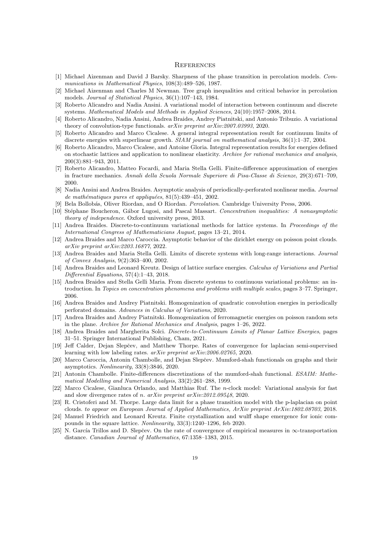## **REFERENCES**

- <span id="page-18-22"></span>[1] Michael Aizenman and David J Barsky. Sharpness of the phase transition in percolation models. Communications in Mathematical Physics, 108(3):489–526, 1987.
- <span id="page-18-23"></span>[2] Michael Aizenman and Charles M Newman. Tree graph inequalities and critical behavior in percolation models. Journal of Statistical Physics, 36(1):107–143, 1984.
- <span id="page-18-11"></span>[3] Roberto Alicandro and Nadia Ansini. A variational model of interaction between continuum and discrete systems. Mathematical Models and Methods in Applied Sciences, 24(10):1957–2008, 2014.
- <span id="page-18-12"></span>[4] Roberto Alicandro, Nadia Ansini, Andrea Braides, Andrey Piatnitski, and Antonio Tribuzio. A variational theory of convolution-type functionals. arXiv preprint arXiv:2007.03993, 2020.
- <span id="page-18-0"></span>[5] Roberto Alicandro and Marco Cicalese. A general integral representation result for continuum limits of discrete energies with superlinear growth. SIAM journal on mathematical analysis, 36(1):1–37, 2004.
- <span id="page-18-1"></span>[6] Roberto Alicandro, Marco Cicalese, and Antoine Gloria. Integral representation results for energies defined on stochastic lattices and application to nonlinear elasticity. Archive for rational mechanics and analysis, 200(3):881–943, 2011.
- <span id="page-18-2"></span>[7] Roberto Alicandro, Matteo Focardi, and Maria Stella Gelli. Finite-difference approximation of energies in fracture mechanics. Annali della Scuola Normale Superiore di Pisa-Classe di Scienze, 29(3):671–709, 2000.
- <span id="page-18-19"></span>[8] Nadia Ansini and Andrea Braides. Asymptotic analysis of periodically-perforated nonlinear media. Journal de mathématiques pures et appliquées,  $81(5):439-451$ , 2002.
- <span id="page-18-24"></span>[9] Bela Bollobás, Oliver Riordan, and O Riordan. *Percolation*. Cambridge University Press, 2006.
- <span id="page-18-21"></span>[10] Stéphane Boucheron, Gábor Lugosi, and Pascal Massart. Concentration inequalities: A nonasymptotic theory of independence. Oxford university press, 2013.
- <span id="page-18-3"></span>[11] Andrea Braides. Discrete-to-continuum variational methods for lattice systems. In Proceedings of the International Congress of Mathematicians August, pages 13–21, 2014.
- <span id="page-18-17"></span>[12] Andrea Braides and Marco Caroccia. Asymptotic behavior of the dirichlet energy on poisson point clouds. arXiv preprint arXiv:2203.16877, 2022.
- <span id="page-18-4"></span>[13] Andrea Braides and Maria Stella Gelli. Limits of discrete systems with long-range interactions. Journal of Convex Analysis, 9(2):363–400, 2002.
- <span id="page-18-5"></span>[14] Andrea Braides and Leonard Kreutz. Design of lattice surface energies. Calculus of Variations and Partial Differential Equations, 57(4):1–43, 2018.
- <span id="page-18-6"></span>[15] Andrea Braides and Stella Gelli Maria. From discrete systems to continuous variational problems: an introduction. In Topics on concentration phenomena and problems with multiple scales, pages 3–77. Springer, 2006.
- <span id="page-18-20"></span>[16] Andrea Braides and Andrey Piatnitski. Homogenization of quadratic convolution energies in periodically perforated domains. Advances in Calculus of Variations, 2020.
- <span id="page-18-18"></span>[17] Andrea Braides and Andrey Piatnitski. Homogenization of ferromagnetic energies on poisson random sets in the plane. Archive for Rational Mechanics and Analysis, pages 1–26, 2022.
- <span id="page-18-7"></span>[18] Andrea Braides and Margherita Solci. Discrete-to-Continuum Limits of Planar Lattice Energies, pages 31–51. Springer International Publishing, Cham, 2021.
- <span id="page-18-13"></span>[19] Jeff Calder, Dejan Slepčev, and Matthew Thorpe. Rates of convergence for laplacian semi-supervised learning with low labeling rates. arXiv preprint arXiv:2006.02765, 2020.
- <span id="page-18-14"></span>[20] Marco Caroccia, Antonin Chambolle, and Dejan Slepčev. Mumford-shah functionals on graphs and their asymptotics. Nonlinearity, 33(8):3846, 2020.
- <span id="page-18-8"></span>[21] Antonin Chambolle. Finite-differences discretizations of the mumford-shah functional. ESAIM: Mathematical Modelling and Numerical Analysis, 33(2):261–288, 1999.
- <span id="page-18-9"></span>[22] Marco Cicalese, Gianluca Orlando, and Matthias Ruf. The n-clock model: Variational analysis for fast and slow divergence rates of n. arXiv preprint arXiv:2012.09548, 2020.
- <span id="page-18-15"></span>[23] R. Cristoferi and M. Thorpe. Large data limit for a phase transition model with the p-laplacian on point clouds. to appear on European Journal of Applied Mathematics, ArXiv preprint ArXiv:1802.08703, 2018.
- <span id="page-18-10"></span>[24] Manuel Friedrich and Leonard Kreutz. Finite crystallization and wulff shape emergence for ionic compounds in the square lattice. Nonlinearity, 33(3):1240–1296, feb 2020.
- <span id="page-18-16"></span>[25] N. García Trillos and D. Slepčev. On the rate of convergence of empirical measures in  $\infty$ -transportation distance. Canadian Journal of Mathematics, 67:1358–1383, 2015.